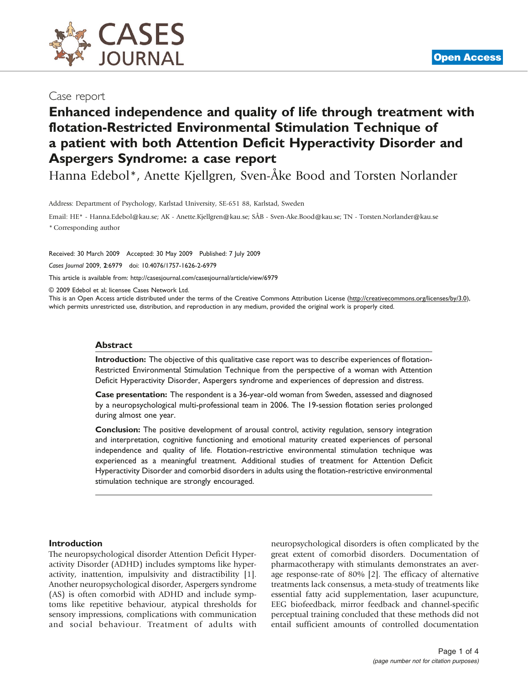

# Enhanced independence and quality of life through treatment with flotation-Restricted Environmental Stimulation Technique of a patient with both Attention Deficit Hyperactivity Disorder and Aspergers Syndrome: a case report

Hanna Edebol\*, Anette Kjellgren, Sven-Åke Bood and Torsten Norlander

Address: Department of Psychology, Karlstad University, SE-651 88, Karlstad, Sweden

Email: HE\* - Hanna.Edebol@kau.se; AK - Anette.Kjellgren@kau.se; SÅB - Sven-Ake.Bood@kau.se; TN - Torsten.Norlander@kau.se \* Corresponding author

Received: 30 March 2009 Accepted: 30 May 2009 Published: 7 July 2009

Cases Journal 2009, 2:6979 doi: 10.4076/1757-1626-2-6979

This article is available from:<http://casesjournal.com/casesjournal/article/view/6979>

© 2009 Edebol et al; licensee Cases Network Ltd.

This is an Open Access article distributed under the terms of the Creative Commons Attribution License [\(http://creativecommons.org/licenses/by/3.0\)](http://creativecommons.org/licenses/by/3.0), which permits unrestricted use, distribution, and reproduction in any medium, provided the original work is properly cited.

#### Abstract

Introduction: The objective of this qualitative case report was to describe experiences of flotation-Restricted Environmental Stimulation Technique from the perspective of a woman with Attention Deficit Hyperactivity Disorder, Aspergers syndrome and experiences of depression and distress.

Case presentation: The respondent is a 36-year-old woman from Sweden, assessed and diagnosed by a neuropsychological multi-professional team in 2006. The 19-session flotation series prolonged during almost one year.

Conclusion: The positive development of arousal control, activity regulation, sensory integration and interpretation, cognitive functioning and emotional maturity created experiences of personal independence and quality of life. Flotation-restrictive environmental stimulation technique was experienced as a meaningful treatment. Additional studies of treatment for Attention Deficit Hyperactivity Disorder and comorbid disorders in adults using the flotation-restrictive environmental stimulation technique are strongly encouraged.

#### Introduction

The neuropsychological disorder Attention Deficit Hyperactivity Disorder (ADHD) includes symptoms like hyperactivity, inattention, impulsivity and distractibility [[1\]](#page-3-0). Another neuropsychological disorder, Aspergers syndrome (AS) is often comorbid with ADHD and include symptoms like repetitive behaviour, atypical thresholds for sensory impressions, complications with communication and social behaviour. Treatment of adults with neuropsychological disorders is often complicated by the great extent of comorbid disorders. Documentation of pharmacotherapy with stimulants demonstrates an average response-rate of 80% [\[2\]](#page-3-0). The efficacy of alternative treatments lack consensus, a meta-study of treatments like essential fatty acid supplementation, laser acupuncture, EEG biofeedback, mirror feedback and channel-specific perceptual training concluded that these methods did not entail sufficient amounts of controlled documentation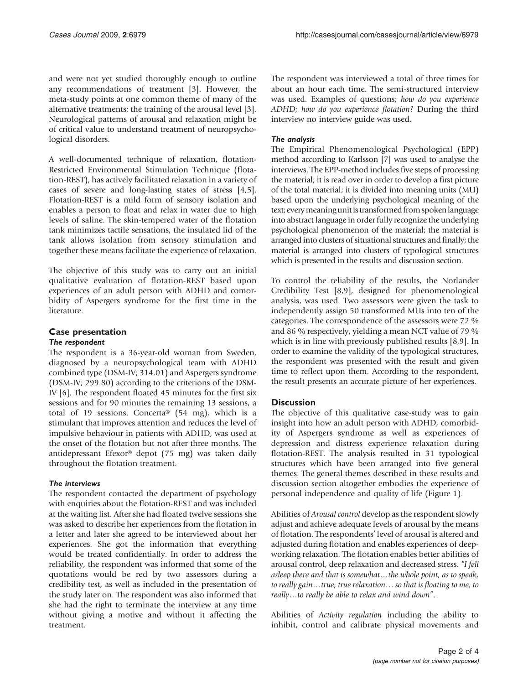and were not yet studied thoroughly enough to outline any recommendations of treatment [\[3\]](#page-3-0). However, the meta-study points at one common theme of many of the alternative treatments; the training of the arousal level [[3\]](#page-3-0). Neurological patterns of arousal and relaxation might be of critical value to understand treatment of neuropsychological disorders.

A well-documented technique of relaxation, flotation-Restricted Environmental Stimulation Technique (flotation-REST), has actively facilitated relaxation in a variety of cases of severe and long-lasting states of stress [[4](#page-3-0),[5\]](#page-3-0). Flotation-REST is a mild form of sensory isolation and enables a person to float and relax in water due to high levels of saline. The skin-tempered water of the flotation tank minimizes tactile sensations, the insulated lid of the tank allows isolation from sensory stimulation and together these means facilitate the experience of relaxation.

The objective of this study was to carry out an initial qualitative evaluation of flotation-REST based upon experiences of an adult person with ADHD and comorbidity of Aspergers syndrome for the first time in the literature.

## Case presentation

#### The respondent

The respondent is a 36-year-old woman from Sweden, diagnosed by a neuropsychological team with ADHD combined type (DSM-IV; 314.01) and Aspergers syndrome (DSM-IV; 299.80) according to the criterions of the DSM-IV [[6](#page-3-0)]. The respondent floated 45 minutes for the first six sessions and for 90 minutes the remaining 13 sessions, a total of 19 sessions. Concerta® (54 mg), which is a stimulant that improves attention and reduces the level of impulsive behaviour in patients with ADHD, was used at the onset of the flotation but not after three months. The antidepressant Efexor® depot (75 mg) was taken daily throughout the flotation treatment.

#### The interviews

The respondent contacted the department of psychology with enquiries about the flotation-REST and was included at the waiting list. After she had floated twelve sessions she was asked to describe her experiences from the flotation in a letter and later she agreed to be interviewed about her experiences. She got the information that everything would be treated confidentially. In order to address the reliability, the respondent was informed that some of the quotations would be red by two assessors during a credibility test, as well as included in the presentation of the study later on. The respondent was also informed that she had the right to terminate the interview at any time without giving a motive and without it affecting the treatment.

The respondent was interviewed a total of three times for about an hour each time. The semi-structured interview was used. Examples of questions; how do you experience ADHD; how do you experience flotation? During the third interview no interview guide was used.

### The analysis

The Empirical Phenomenological Psychological (EPP) method according to Karlsson [\[7\]](#page-3-0) was used to analyse the interviews. The EPP-method includes five steps of processing the material; it is read over in order to develop a first picture of the total material; it is divided into meaning units (MU) based upon the underlying psychological meaning of the text; every meaning unit is transformed from spoken language into abstract language in order fully recognize the underlying psychological phenomenon of the material; the material is arranged into clusters of situational structures and finally; the material is arranged into clusters of typological structures which is presented in the results and discussion section.

To control the reliability of the results, the Norlander Credibility Test [\[8](#page-3-0),[9](#page-3-0)], designed for phenomenological analysis, was used. Two assessors were given the task to independently assign 50 transformed MUs into ten of the categories. The correspondence of the assessors were 72 % and 86 % respectively, yielding a mean NCT value of 79 % which is in line with previously published results [\[8,9](#page-3-0)]. In order to examine the validity of the typological structures, the respondent was presented with the result and given time to reflect upon them. According to the respondent, the result presents an accurate picture of her experiences.

## **Discussion**

The objective of this qualitative case-study was to gain insight into how an adult person with ADHD, comorbidity of Aspergers syndrome as well as experiences of depression and distress experience relaxation during flotation-REST. The analysis resulted in 31 typological structures which have been arranged into five general themes. The general themes described in these results and discussion section altogether embodies the experience of personal independence and quality of life ([Figure 1\)](#page-2-0).

Abilities of Arousal control develop as the respondent slowly adjust and achieve adequate levels of arousal by the means of flotation. The respondents' level of arousal is altered and adjusted during flotation and enables experiences of deepworking relaxation. The flotation enables better abilities of arousal control, deep relaxation and decreased stress. "I fell asleep there and that is somewhat…the whole point, as to speak, to really gain…true, true relaxation… so that is floating to me, to really…to really be able to relax and wind down".

Abilities of Activity regulation including the ability to inhibit, control and calibrate physical movements and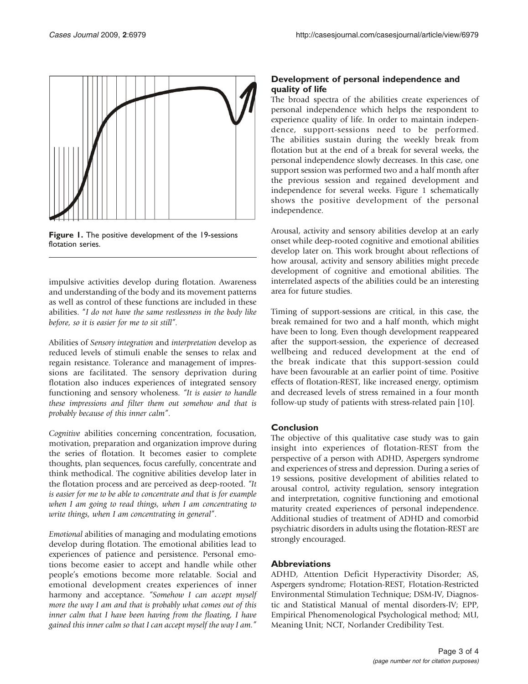<span id="page-2-0"></span>

Figure 1. The positive development of the 19-sessions flotation series.

impulsive activities develop during flotation. Awareness and understanding of the body and its movement patterns as well as control of these functions are included in these abilities. "I do not have the same restlessness in the body like before, so it is easier for me to sit still".

Abilities of Sensory integration and interpretation develop as reduced levels of stimuli enable the senses to relax and regain resistance. Tolerance and management of impressions are facilitated. The sensory deprivation during flotation also induces experiences of integrated sensory functioning and sensory wholeness. "It is easier to handle these impressions and filter them out somehow and that is probably because of this inner calm".

Cognitive abilities concerning concentration, focusation, motivation, preparation and organization improve during the series of flotation. It becomes easier to complete thoughts, plan sequences, focus carefully, concentrate and think methodical. The cognitive abilities develop later in the flotation process and are perceived as deep-rooted. "It is easier for me to be able to concentrate and that is for example when I am going to read things, when I am concentrating to write things, when I am concentrating in general".

Emotional abilities of managing and modulating emotions develop during flotation. The emotional abilities lead to experiences of patience and persistence. Personal emotions become easier to accept and handle while other people's emotions become more relatable. Social and emotional development creates experiences of inner harmony and acceptance. "Somehow I can accept myself more the way I am and that is probably what comes out of this inner calm that I have been having from the floating, I have gained this inner calm so that I can accept myself the way I am."

## Development of personal independence and quality of life

The broad spectra of the abilities create experiences of personal independence which helps the respondent to experience quality of life. In order to maintain independence, support-sessions need to be performed. The abilities sustain during the weekly break from flotation but at the end of a break for several weeks, the personal independence slowly decreases. In this case, one support session was performed two and a half month after the previous session and regained development and independence for several weeks. Figure 1 schematically shows the positive development of the personal independence.

Arousal, activity and sensory abilities develop at an early onset while deep-rooted cognitive and emotional abilities develop later on. This work brought about reflections of how arousal, activity and sensory abilities might precede development of cognitive and emotional abilities. The interrelated aspects of the abilities could be an interesting area for future studies.

Timing of support-sessions are critical, in this case, the break remained for two and a half month, which might have been to long. Even though development reappeared after the support-session, the experience of decreased wellbeing and reduced development at the end of the break indicate that this support-session could have been favourable at an earlier point of time. Positive effects of flotation-REST, like increased energy, optimism and decreased levels of stress remained in a four month follow-up study of patients with stress-related pain [\[10](#page-3-0)].

## Conclusion

The objective of this qualitative case study was to gain insight into experiences of flotation-REST from the perspective of a person with ADHD, Aspergers syndrome and experiences of stress and depression. During a series of 19 sessions, positive development of abilities related to arousal control, activity regulation, sensory integration and interpretation, cognitive functioning and emotional maturity created experiences of personal independence. Additional studies of treatment of ADHD and comorbid psychiatric disorders in adults using the flotation-REST are strongly encouraged.

## Abbreviations

ADHD, Attention Deficit Hyperactivity Disorder; AS, Aspergers syndrome; Flotation-REST, Flotation-Restricted Environmental Stimulation Technique; DSM-IV, Diagnostic and Statistical Manual of mental disorders-IV; EPP, Empirical Phenomenological Psychological method; MU, Meaning Unit; NCT, Norlander Credibility Test.